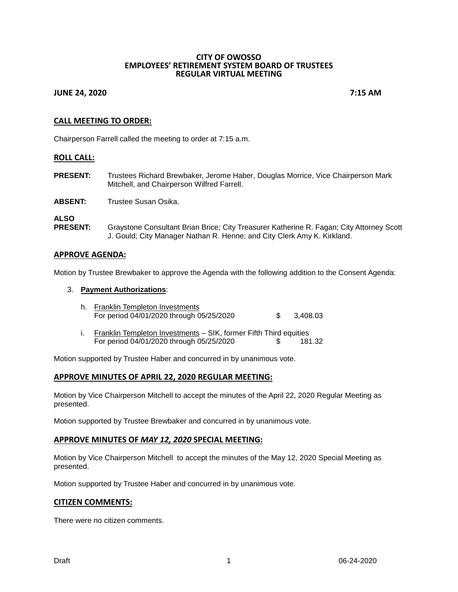#### **CITY OF OWOSSO EMPLOYEES' RETIREMENT SYSTEM BOARD OF TRUSTEES REGULAR VIRTUAL MEETING**

## **JUNE 24, 2020 7:15 AM**

# **CALL MEETING TO ORDER:**

Chairperson Farrell called the meeting to order at 7:15 a.m.

#### **ROLL CALL:**

**PRESENT:** Trustees Richard Brewbaker, Jerome Haber, Douglas Morrice, Vice Chairperson Mark Mitchell, and Chairperson Wilfred Farrell.

**ABSENT:** Trustee Susan Osika.

**ALSO** Graystone Consultant Brian Brice; City Treasurer Katherine R. Fagan; City Attorney Scott J. Gould; City Manager Nathan R. Henne; and City Clerk Amy K. Kirkland.

#### **APPROVE AGENDA:**

Motion by Trustee Brewbaker to approve the Agenda with the following addition to the Consent Agenda:

#### 3. **Payment Authorizations**:

- h. Franklin Templeton Investments For period 04/01/2020 through 05/25/2020 \$ 3,408.03
- i. Franklin Templeton Investments SIK, former Fifth Third equities For period 04/01/2020 through 05/25/2020 \$ 181.32

Motion supported by Trustee Haber and concurred in by unanimous vote.

#### **APPROVE MINUTES OF APRIL 22, 2020 REGULAR MEETING:**

Motion by Vice Chairperson Mitchell to accept the minutes of the April 22, 2020 Regular Meeting as presented.

Motion supported by Trustee Brewbaker and concurred in by unanimous vote.

#### **APPROVE MINUTES OF** *MAY 12, 2020* **SPECIAL MEETING:**

Motion by Vice Chairperson Mitchell to accept the minutes of the May 12, 2020 Special Meeting as presented.

Motion supported by Trustee Haber and concurred in by unanimous vote.

#### **CITIZEN COMMENTS:**

There were no citizen comments.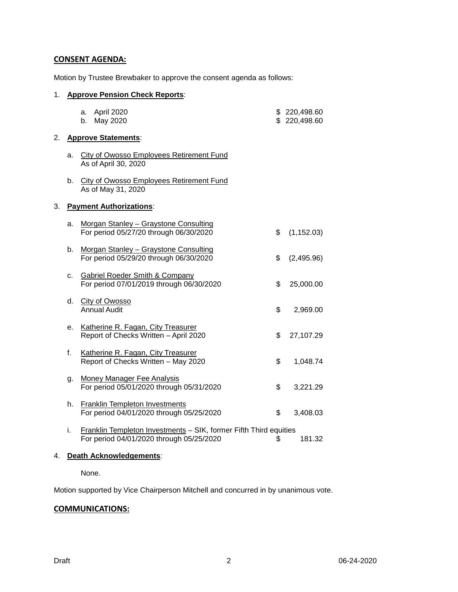# **CONSENT AGENDA:**

Motion by Trustee Brewbaker to approve the consent agenda as follows:

#### 1. **Approve Pension Check Reports**:

# a. April 2020 **\$** 220,498.60 b. May 2020 **\$** 220,498.60 2. **Approve Statements**: a. City of Owosso Employees Retirement Fund As of April 30, 2020 b. City of Owosso Employees Retirement Fund As of May 31, 2020 3. **Payment Authorizations**: a. Morgan Stanley – Graystone Consulting For period 05/27/20 through 06/30/2020 \$ (1,152.03) b. Morgan Stanley – Graystone Consulting For period 05/29/20 through 06/30/2020 \$ (2,495.96) c. Gabriel Roeder Smith & Company For period 07/01/2019 through 06/30/2020 \$ 25,000.00 d. City of Owosso Annual Audit **\$ 2,969.00** e. Katherine R. Fagan, City Treasurer Report of Checks Written – April 2020 \$ 27,107.29 f. Katherine R. Fagan, City Treasurer Report of Checks Written – May 2020 \$ 1,048.74 g. Money Manager Fee Analysis For period 05/01/2020 through 05/31/2020 \$ 3,221.29

- h. Franklin Templeton Investments For period 04/01/2020 through 05/25/2020 \$ 3,408.03
- i. Franklin Templeton Investments SIK, former Fifth Third equities For period 04/01/2020 through 05/25/2020 \$ 181.32

# 4. **Death Acknowledgements**:

None.

Motion supported by Vice Chairperson Mitchell and concurred in by unanimous vote.

# **COMMUNICATIONS:**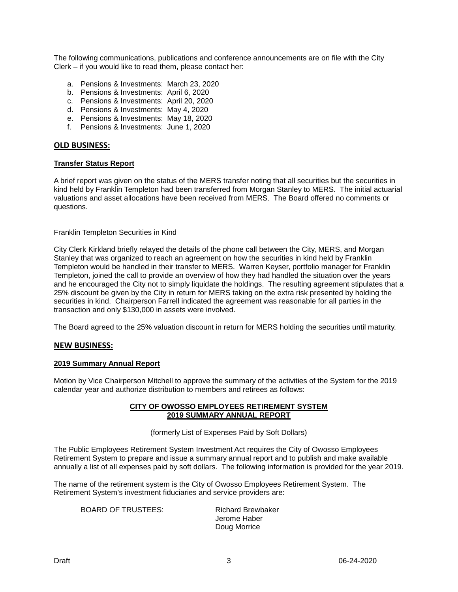The following communications, publications and conference announcements are on file with the City Clerk – if you would like to read them, please contact her:

- a. Pensions & Investments: March 23, 2020
- b. Pensions & Investments: April 6, 2020
- c. Pensions & Investments: April 20, 2020
- d. Pensions & Investments: May 4, 2020
- e. Pensions & Investments: May 18, 2020
- f. Pensions & Investments: June 1, 2020

# **OLD BUSINESS:**

#### **Transfer Status Report**

A brief report was given on the status of the MERS transfer noting that all securities but the securities in kind held by Franklin Templeton had been transferred from Morgan Stanley to MERS. The initial actuarial valuations and asset allocations have been received from MERS. The Board offered no comments or questions.

Franklin Templeton Securities in Kind

City Clerk Kirkland briefly relayed the details of the phone call between the City, MERS, and Morgan Stanley that was organized to reach an agreement on how the securities in kind held by Franklin Templeton would be handled in their transfer to MERS. Warren Keyser, portfolio manager for Franklin Templeton, joined the call to provide an overview of how they had handled the situation over the years and he encouraged the City not to simply liquidate the holdings. The resulting agreement stipulates that a 25% discount be given by the City in return for MERS taking on the extra risk presented by holding the securities in kind. Chairperson Farrell indicated the agreement was reasonable for all parties in the transaction and only \$130,000 in assets were involved.

The Board agreed to the 25% valuation discount in return for MERS holding the securities until maturity.

#### **NEW BUSINESS:**

#### **2019 Summary Annual Report**

Motion by Vice Chairperson Mitchell to approve the summary of the activities of the System for the 2019 calendar year and authorize distribution to members and retirees as follows:

#### **CITY OF OWOSSO EMPLOYEES RETIREMENT SYSTEM 2019 SUMMARY ANNUAL REPORT**

(formerly List of Expenses Paid by Soft Dollars)

The Public Employees Retirement System Investment Act requires the City of Owosso Employees Retirement System to prepare and issue a summary annual report and to publish and make available annually a list of all expenses paid by soft dollars. The following information is provided for the year 2019.

The name of the retirement system is the City of Owosso Employees Retirement System. The Retirement System's investment fiduciaries and service providers are:

BOARD OF TRUSTEES: Richard Brewbaker

Jerome Haber Doug Morrice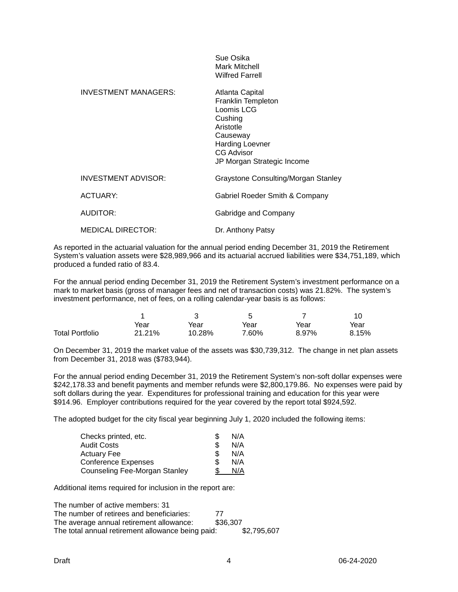|                            | OUE USING<br><b>Mark Mitchell</b><br><b>Wilfred Farrell</b>                                                                                                          |
|----------------------------|----------------------------------------------------------------------------------------------------------------------------------------------------------------------|
| INVESTMENT MANAGERS:       | Atlanta Capital<br>Franklin Templeton<br>Loomis LCG<br>Cushing<br>Aristotle<br>Causeway<br><b>Harding Loevner</b><br><b>CG Advisor</b><br>JP Morgan Strategic Income |
| <b>INVESTMENT ADVISOR:</b> | Graystone Consulting/Morgan Stanley                                                                                                                                  |
| ACTUARY:                   | Gabriel Roeder Smith & Company                                                                                                                                       |
| AUDITOR:                   | Gabridge and Company                                                                                                                                                 |
| <b>MEDICAL DIRECTOR:</b>   | Dr. Anthony Patsy                                                                                                                                                    |

Sue Osika

As reported in the actuarial valuation for the annual period ending December 31, 2019 the Retirement System's valuation assets were \$28,989,966 and its actuarial accrued liabilities were \$34,751,189, which produced a funded ratio of 83.4.

For the annual period ending December 31, 2019 the Retirement System's investment performance on a mark to market basis (gross of manager fees and net of transaction costs) was 21.82%. The system's investment performance, net of fees, on a rolling calendar-year basis is as follows:

|                        | Year   | Year   | Year  | Year  | Year  |
|------------------------|--------|--------|-------|-------|-------|
| <b>Total Portfolio</b> | 21.21% | 10.28% | 7.60% | 8.97% | 8.15% |

On December 31, 2019 the market value of the assets was \$30,739,312. The change in net plan assets from December 31, 2018 was (\$783,944).

For the annual period ending December 31, 2019 the Retirement System's non-soft dollar expenses were \$242,178.33 and benefit payments and member refunds were \$2,800,179.86. No expenses were paid by soft dollars during the year. Expenditures for professional training and education for this year were \$914.96. Employer contributions required for the year covered by the report total \$924,592.

The adopted budget for the city fiscal year beginning July 1, 2020 included the following items:

| Checks printed, etc.          |   | N/A |
|-------------------------------|---|-----|
| Audit Costs                   | S | N/A |
| Actuary Fee                   |   | N/A |
| <b>Conference Expenses</b>    |   | N/A |
| Counseling Fee-Morgan Stanley |   | N/A |

Additional items required for inclusion in the report are:

The number of active members: 31 The number of retirees and beneficiaries: 77<br>The average annual retirement allowance: \$36,307 The average annual retirement allowance: The total annual retirement allowance being paid: \$2,795,607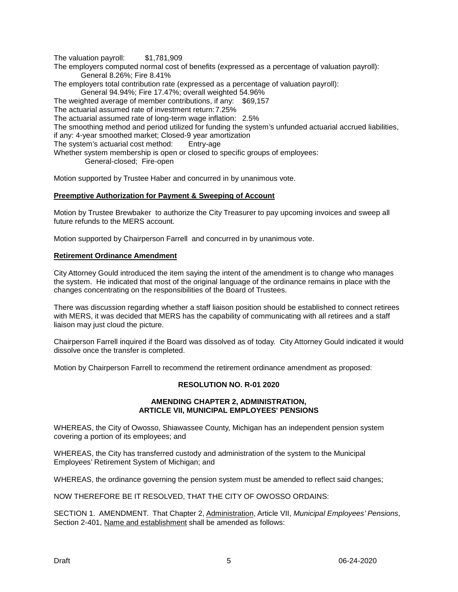The valuation payroll: \$1,781,909

The employers computed normal cost of benefits (expressed as a percentage of valuation payroll): General 8.26%; Fire 8.41%

The employers total contribution rate (expressed as a percentage of valuation payroll):

General 94.94%; Fire 17.47%; overall weighted 54.96%

The weighted average of member contributions, if any: \$69,157

The actuarial assumed rate of investment return:7.25%

The actuarial assumed rate of long-term wage inflation: 2.5%

The smoothing method and period utilized for funding the system's unfunded actuarial accrued liabilities,

if any: 4-year smoothed market; Closed-9 year amortization

The system's actuarial cost method: Entry-age

Whether system membership is open or closed to specific groups of employees:

General-closed; Fire-open

Motion supported by Trustee Haber and concurred in by unanimous vote.

## **Preemptive Authorization for Payment & Sweeping of Account**

Motion by Trustee Brewbaker to authorize the City Treasurer to pay upcoming invoices and sweep all future refunds to the MERS account.

Motion supported by Chairperson Farrell and concurred in by unanimous vote.

## **Retirement Ordinance Amendment**

City Attorney Gould introduced the item saying the intent of the amendment is to change who manages the system. He indicated that most of the original language of the ordinance remains in place with the changes concentrating on the responsibilities of the Board of Trustees.

There was discussion regarding whether a staff liaison position should be established to connect retirees with MERS, it was decided that MERS has the capability of communicating with all retirees and a staff liaison may just cloud the picture.

Chairperson Farrell inquired if the Board was dissolved as of today. City Attorney Gould indicated it would dissolve once the transfer is completed.

Motion by Chairperson Farrell to recommend the retirement ordinance amendment as proposed:

# **RESOLUTION NO. R-01 2020**

#### **AMENDING CHAPTER 2, ADMINISTRATION, ARTICLE VII, MUNICIPAL EMPLOYEES' PENSIONS**

WHEREAS, the City of Owosso, Shiawassee County, Michigan has an independent pension system covering a portion of its employees; and

WHEREAS, the City has transferred custody and administration of the system to the Municipal Employees' Retirement System of Michigan; and

WHEREAS, the ordinance governing the pension system must be amended to reflect said changes;

NOW THEREFORE BE IT RESOLVED, THAT THE CITY OF OWOSSO ORDAINS:

SECTION 1. AMENDMENT. That Chapter 2, Administration, Article VII, *Municipal Employees' Pensions*, Section 2-401, Name and establishment shall be amended as follows: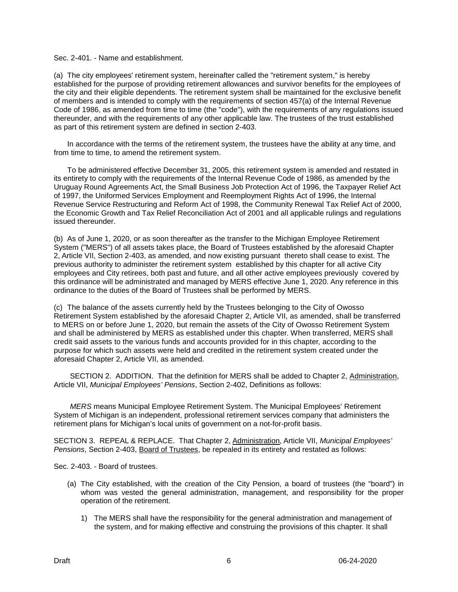Sec. 2-401. - Name and establishment.

(a) The city employees' retirement system, hereinafter called the "retirement system," is hereby established for the purpose of providing retirement allowances and survivor benefits for the employees of the city and their eligible dependents. The retirement system shall be maintained for the exclusive benefit of members and is intended to comply with the requirements of section 457(a) of the Internal Revenue Code of 1986, as amended from time to time (the "code"), with the requirements of any regulations issued thereunder, and with the requirements of any other applicable law. The trustees of the trust established as part of this retirement system are defined in section 2-403.

In accordance with the terms of the retirement system, the trustees have the ability at any time, and from time to time, to amend the retirement system.

To be administered effective December 31, 2005, this retirement system is amended and restated in its entirety to comply with the requirements of the Internal Revenue Code of 1986, as amended by the Uruguay Round Agreements Act, the Small Business Job Protection Act of 1996, the Taxpayer Relief Act of 1997, the Uniformed Services Employment and Reemployment Rights Act of 1996, the Internal Revenue Service Restructuring and Reform Act of 1998, the Community Renewal Tax Relief Act of 2000, the Economic Growth and Tax Relief Reconciliation Act of 2001 and all applicable rulings and regulations issued thereunder.

(b) As of June 1, 2020, or as soon thereafter as the transfer to the Michigan Employee Retirement System ("MERS") of all assets takes place, the Board of Trustees established by the aforesaid Chapter 2, Article VII, Section 2-403, as amended, and now existing pursuant thereto shall cease to exist. The previous authority to administer the retirement system established by this chapter for all active City employees and City retirees, both past and future, and all other active employees previously covered by this ordinance will be administrated and managed by MERS effective June 1, 2020. Any reference in this ordinance to the duties of the Board of Trustees shall be performed by MERS.

(c) The balance of the assets currently held by the Trustees belonging to the City of Owosso Retirement System established by the aforesaid Chapter 2, Article VII, as amended, shall be transferred to MERS on or before June 1, 2020, but remain the assets of the City of Owosso Retirement System and shall be administered by MERS as established under this chapter. When transferred, MERS shall credit said assets to the various funds and accounts provided for in this chapter, according to the purpose for which such assets were held and credited in the retirement system created under the aforesaid Chapter 2, Article VII, as amended.

SECTION 2. ADDITION. That the definition for MERS shall be added to Chapter 2, Administration, Article VII, *Municipal Employees' Pensions*, Section 2-402, Definitions as follows:

*MERS* means Municipal Employee Retirement System. The Municipal Employees' Retirement System of Michigan is an independent, professional retirement services company that administers the retirement plans for Michigan's local units of government on a not-for-profit basis.

SECTION 3. REPEAL & REPLACE. That Chapter 2, Administration, Article VII, *Municipal Employees' Pensions*, Section 2-403, Board of Trustees, be repealed in its entirety and restated as follows:

Sec. 2-403. - Board of trustees.

- (a) The City established, with the creation of the City Pension, a board of trustees (the "board") in whom was vested the general administration, management, and responsibility for the proper operation of the retirement.
	- 1) The MERS shall have the responsibility for the general administration and management of the system, and for making effective and construing the provisions of this chapter. It shall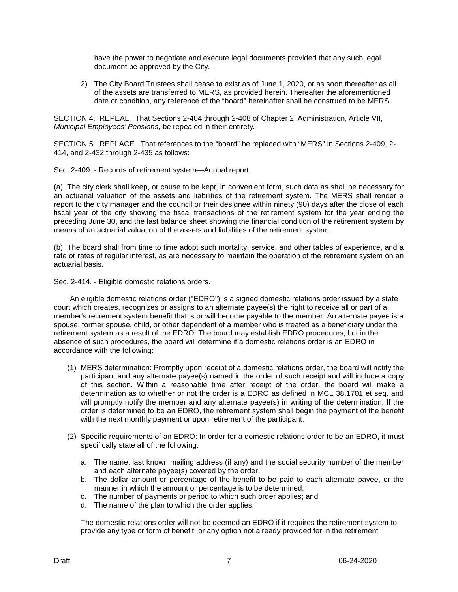have the power to negotiate and execute legal documents provided that any such legal document be approved by the City.

2) The City Board Trustees shall cease to exist as of June 1, 2020, or as soon thereafter as all of the assets are transferred to MERS, as provided herein. Thereafter the aforementioned date or condition, any reference of the "board" hereinafter shall be construed to be MERS.

SECTION 4. REPEAL. That Sections 2-404 through 2-408 of Chapter 2, Administration, Article VII, *Municipal Employees' Pensions*, be repealed in their entirety.

SECTION 5. REPLACE. That references to the "board" be replaced with "MERS" in Sections 2-409, 2- 414, and 2-432 through 2-435 as follows:

Sec. 2-409. - Records of retirement system—Annual report.

(a) The city clerk shall keep, or cause to be kept, in convenient form, such data as shall be necessary for an actuarial valuation of the assets and liabilities of the retirement system. The MERS shall render a report to the city manager and the council or their designee within ninety (90) days after the close of each fiscal year of the city showing the fiscal transactions of the retirement system for the year ending the preceding June 30, and the last balance sheet showing the financial condition of the retirement system by means of an actuarial valuation of the assets and liabilities of the retirement system.

(b) The board shall from time to time adopt such mortality, service, and other tables of experience, and a rate or rates of regular interest, as are necessary to maintain the operation of the retirement system on an actuarial basis.

Sec. 2-414. - Eligible domestic relations orders.

An eligible domestic relations order ("EDRO") is a signed domestic relations order issued by a state court which creates, recognizes or assigns to an alternate payee(s) the right to receive all or part of a member's retirement system benefit that is or will become payable to the member. An alternate payee is a spouse, former spouse, child, or other dependent of a member who is treated as a beneficiary under the retirement system as a result of the EDRO. The board may establish EDRO procedures, but in the absence of such procedures, the board will determine if a domestic relations order is an EDRO in accordance with the following:

- (1) MERS determination: Promptly upon receipt of a domestic relations order, the board will notify the participant and any alternate payee(s) named in the order of such receipt and will include a copy of this section. Within a reasonable time after receipt of the order, the board will make a determination as to whether or not the order is a EDRO as defined in MCL 38.1701 et seq. and will promptly notify the member and any alternate payee(s) in writing of the determination. If the order is determined to be an EDRO, the retirement system shall begin the payment of the benefit with the next monthly payment or upon retirement of the participant.
- (2) Specific requirements of an EDRO: In order for a domestic relations order to be an EDRO, it must specifically state all of the following:
	- a. The name, last known mailing address (if any) and the social security number of the member and each alternate payee(s) covered by the order;
	- b. The dollar amount or percentage of the benefit to be paid to each alternate payee, or the manner in which the amount or percentage is to be determined;
	- c. The number of payments or period to which such order applies; and
	- d. The name of the plan to which the order applies.

The domestic relations order will not be deemed an EDRO if it requires the retirement system to provide any type or form of benefit, or any option not already provided for in the retirement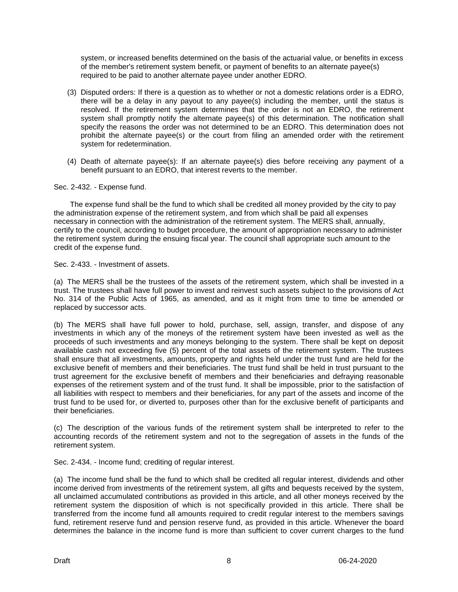system, or increased benefits determined on the basis of the actuarial value, or benefits in excess of the member's retirement system benefit, or payment of benefits to an alternate payee(s) required to be paid to another alternate payee under another EDRO.

- (3) Disputed orders: If there is a question as to whether or not a domestic relations order is a EDRO, there will be a delay in any payout to any payee(s) including the member, until the status is resolved. If the retirement system determines that the order is not an EDRO, the retirement system shall promptly notify the alternate payee(s) of this determination. The notification shall specify the reasons the order was not determined to be an EDRO. This determination does not prohibit the alternate payee(s) or the court from filing an amended order with the retirement system for redetermination.
- (4) Death of alternate payee(s): If an alternate payee(s) dies before receiving any payment of a benefit pursuant to an EDRO, that interest reverts to the member.

## Sec. 2-432. - Expense fund.

The expense fund shall be the fund to which shall be credited all money provided by the city to pay the administration expense of the retirement system, and from which shall be paid all expenses necessary in connection with the administration of the retirement system. The MERS shall, annually, certify to the council, according to budget procedure, the amount of appropriation necessary to administer the retirement system during the ensuing fiscal year. The council shall appropriate such amount to the credit of the expense fund.

Sec. 2-433. - Investment of assets.

(a) The MERS shall be the trustees of the assets of the retirement system, which shall be invested in a trust. The trustees shall have full power to invest and reinvest such assets subject to the provisions of Act No. 314 of the Public Acts of 1965, as amended, and as it might from time to time be amended or replaced by successor acts.

(b) The MERS shall have full power to hold, purchase, sell, assign, transfer, and dispose of any investments in which any of the moneys of the retirement system have been invested as well as the proceeds of such investments and any moneys belonging to the system. There shall be kept on deposit available cash not exceeding five (5) percent of the total assets of the retirement system. The trustees shall ensure that all investments, amounts, property and rights held under the trust fund are held for the exclusive benefit of members and their beneficiaries. The trust fund shall be held in trust pursuant to the trust agreement for the exclusive benefit of members and their beneficiaries and defraying reasonable expenses of the retirement system and of the trust fund. It shall be impossible, prior to the satisfaction of all liabilities with respect to members and their beneficiaries, for any part of the assets and income of the trust fund to be used for, or diverted to, purposes other than for the exclusive benefit of participants and their beneficiaries.

(c) The description of the various funds of the retirement system shall be interpreted to refer to the accounting records of the retirement system and not to the segregation of assets in the funds of the retirement system.

Sec. 2-434. - Income fund; crediting of regular interest.

(a) The income fund shall be the fund to which shall be credited all regular interest, dividends and other income derived from investments of the retirement system, all gifts and bequests received by the system, all unclaimed accumulated contributions as provided in this article, and all other moneys received by the retirement system the disposition of which is not specifically provided in this article. There shall be transferred from the income fund all amounts required to credit regular interest to the members savings fund, retirement reserve fund and pension reserve fund, as provided in this article. Whenever the board determines the balance in the income fund is more than sufficient to cover current charges to the fund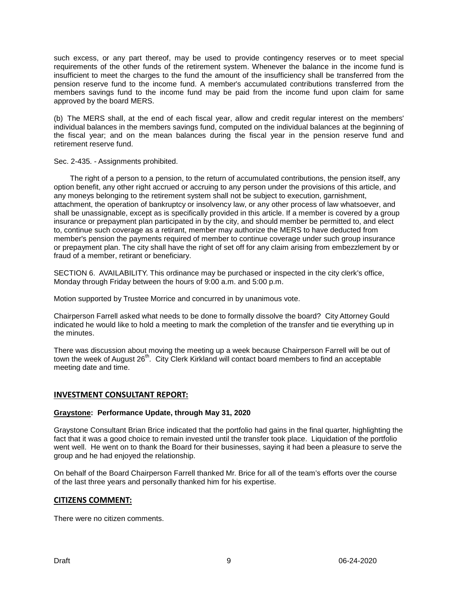such excess, or any part thereof, may be used to provide contingency reserves or to meet special requirements of the other funds of the retirement system. Whenever the balance in the income fund is insufficient to meet the charges to the fund the amount of the insufficiency shall be transferred from the pension reserve fund to the income fund. A member's accumulated contributions transferred from the members savings fund to the income fund may be paid from the income fund upon claim for same approved by the board MERS.

(b) The MERS shall, at the end of each fiscal year, allow and credit regular interest on the members' individual balances in the members savings fund, computed on the individual balances at the beginning of the fiscal year; and on the mean balances during the fiscal year in the pension reserve fund and retirement reserve fund.

Sec. 2-435. - Assignments prohibited.

The right of a person to a pension, to the return of accumulated contributions, the pension itself, any option benefit, any other right accrued or accruing to any person under the provisions of this article, and any moneys belonging to the retirement system shall not be subject to execution, garnishment, attachment, the operation of bankruptcy or insolvency law, or any other process of law whatsoever, and shall be unassignable, except as is specifically provided in this article. If a member is covered by a group insurance or prepayment plan participated in by the city, and should member be permitted to, and elect to, continue such coverage as a retirant, member may authorize the MERS to have deducted from member's pension the payments required of member to continue coverage under such group insurance or prepayment plan. The city shall have the right of set off for any claim arising from embezzlement by or fraud of a member, retirant or beneficiary.

SECTION 6. AVAILABILITY. This ordinance may be purchased or inspected in the city clerk's office, Monday through Friday between the hours of 9:00 a.m. and 5:00 p.m.

Motion supported by Trustee Morrice and concurred in by unanimous vote.

Chairperson Farrell asked what needs to be done to formally dissolve the board? City Attorney Gould indicated he would like to hold a meeting to mark the completion of the transfer and tie everything up in the minutes.

There was discussion about moving the meeting up a week because Chairperson Farrell will be out of town the week of August 26<sup>th</sup>. City Clerk Kirkland will contact board members to find an acceptable meeting date and time.

# **INVESTMENT CONSULTANT REPORT:**

# **Graystone: Performance Update, through May 31, 2020**

Graystone Consultant Brian Brice indicated that the portfolio had gains in the final quarter, highlighting the fact that it was a good choice to remain invested until the transfer took place. Liquidation of the portfolio went well. He went on to thank the Board for their businesses, saying it had been a pleasure to serve the group and he had enjoyed the relationship.

On behalf of the Board Chairperson Farrell thanked Mr. Brice for all of the team's efforts over the course of the last three years and personally thanked him for his expertise.

# **CITIZENS COMMENT:**

There were no citizen comments.